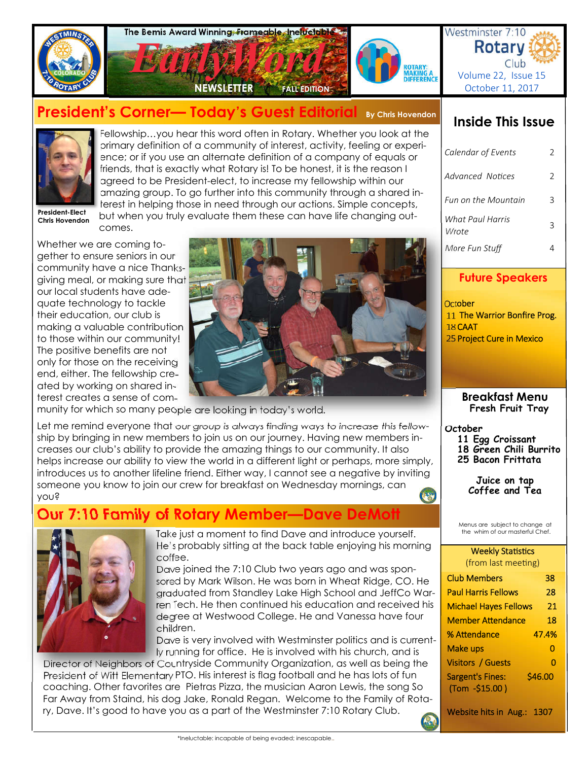

# **President's Corner— Today's Guest Editorial By Chris Hovendon**



Fellowship…you hear this word often in Rotary. Whether you look at the primary definition of a community of interest, activity, feeling or experience; or if you use an alternate definition of a company of equals or friends, that is exactly what Rotary is! To be honest, it is the reason I agreed to be President-elect, to increase my fellowship within our amazing group. To go further into this community through a shared interest in helping those in need through our actions. Simple concepts, but when you truly evaluate them these can have life changing out-

**President-Elect Chris Hovendon**

Whether we are coming together to ensure seniors in our community have a nice Thanksgiving meal, or making sure that our local students have adequate technology to tackle their education, our club is making a valuable contribution to those within our community! The positive benefits are not only for those on the receiving end, either. The fellowship created by working on shared interest creates a sense of com-

comes.



munity for which so many people are looking in today's world.

Let me remind everyone that our group is always finding ways to increase this fellowship by bringing in new members to join us on our journey. Having new members increases our club's ability to provide the amazing things to our community. It also helps increase our ability to view the world in a different light or perhaps, more simply, introduces us to another lifeline friend. Either way, I cannot see a negative by inviting someone you know to join our crew for breakfast on Wednesday mornings, can you?

# **Our 7:10 Family of Rotary Member—Dave DeMot**



Take just a moment to find Dave and introduce yourself. He's probably sitting at the back table enjoying his morning coffee.

Dave joined the 7:10 Club two years ago and was sponsored by Mark Wilson. He was born in Wheat Ridge, CO. He graduated from Standley Lake High School and JeffCo Warren Tech. He then continued his education and received his degree at Westwood College. He and Vanessa have four children.

Dave is very involved with Westminster politics and is currently running for office. He is involved with his church, and is

Director of Neighbors of Countryside Community Organization, as well as being the President of Witt Elementary PTO. His interest is flag football and he has lots of fun coaching. Other favorites are Pietras Pizza, the musician Aaron Lewis, the song So Far Away from Staind, his dog Jake, Ronald Regan. Welcome to the Family of Rotary, Dave. It's good to have you as a part of the Westminster 7:10 Rotary Club.

## **Inside This Issue**

Club

| Calendar of Events        | 2  |
|---------------------------|----|
| Advanced Notices          | C. |
| Fun on the Mountain       | ੨  |
| What Paul Harris<br>Wrote | ς  |
| More Fun Stuff            |    |

## **Future Speakers**

**October**  11 The Warrior Bonfire Prog. 18 CAAT 25 Project Cure in Mexico

> **Breakfast Menu Fresh Fruit Tray**

#### **October**

- **11 Egg Croissant**
- **18 Green Chili Burrito 25 Bacon Frittata**
- 

**Juice on tap Coffee and Tea** 

Menus are subject to change at the whim of our masterful Chef.

#### **Weekly Statistics** (from last meeting)

| 38      |
|---------|
| 28      |
| 21      |
| 18      |
| 47.4%   |
| 0       |
| Ω       |
| \$46.00 |
|         |

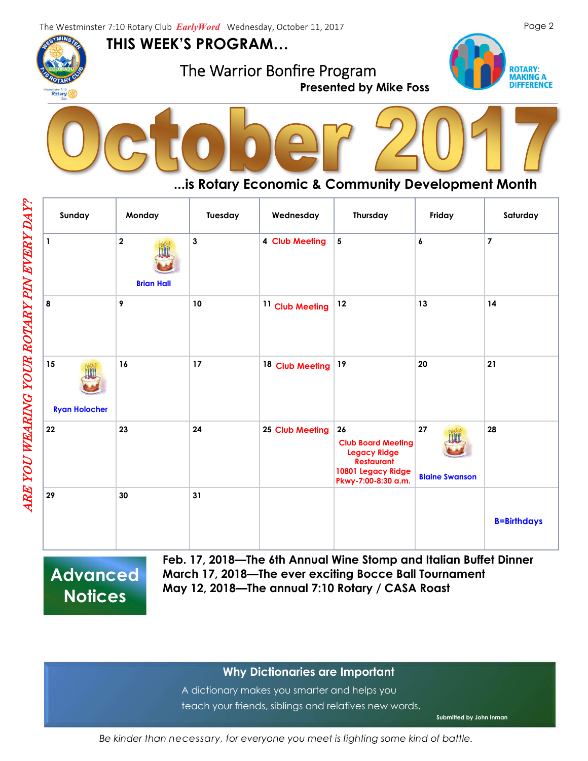**THIS WEEK'S PROGRAM…**

The Warrior Bonfire Program **Presented by Mike Foss** 





## **...is Rotary Economic & Community Development Month**

| Sunday                     | Monday                                       | Tuesday      | Wednesday                  | Thursday                                                                                                                 | Friday                      | Saturday           |
|----------------------------|----------------------------------------------|--------------|----------------------------|--------------------------------------------------------------------------------------------------------------------------|-----------------------------|--------------------|
| $\mathbf{1}$               | $\overline{\mathbf{2}}$<br><b>Brian Hall</b> | $\mathbf{3}$ | 4 Club Meeting             | ${\bf 5}$                                                                                                                | 6                           | $\overline{7}$     |
| 8                          | 9                                            | $10\,$       | <sup>11</sup> Club Meeting | 12                                                                                                                       | 13                          | 14                 |
| 15<br><b>Ryan Holocher</b> | 16                                           | 17           | 18 Club Meeting            | 19                                                                                                                       | 20                          | 21                 |
| 22                         | 23                                           | 24           | 25 Club Meeting            | 26<br><b>Club Board Meeting</b><br><b>Legacy Ridge</b><br><b>Restaurant</b><br>10801 Legacy Ridge<br>Pkwy-7:00-8:30 a.m. | 27<br><b>Blaine Swanson</b> | 28                 |
| 29                         | 30                                           | 31           |                            |                                                                                                                          |                             | <b>B=Birthdays</b> |

**Advanced Notices**

**Feb. 17, 2018—The 6th Annual Wine Stomp and Italian Buffet Dinner March 17, 2018—The ever exciting Bocce Ball Tournament May 12, 2018—The annual 7:10 Rotary / CASA Roast** 

## **Why Dictionaries are Important**

A dictionary makes you smarter and helps you teach your friends, siblings and relatives new words.

**Submitted by John Inman**

*Be kinder than necessary, for everyone you meet is fighting some kind of battle.* 

Rotary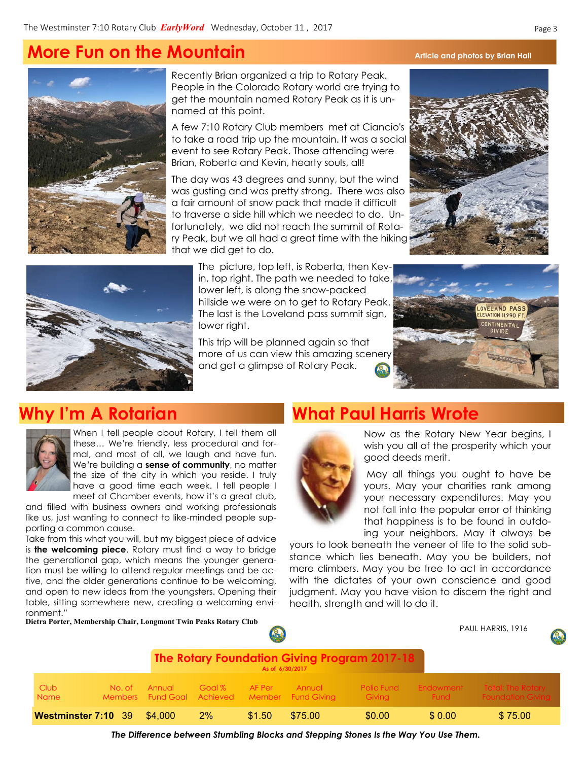# **More Fun on the Mountain** Article and photos by Brian Hall



Recently Brian organized a trip to Rotary Peak. People in the Colorado Rotary world are trying to get the mountain named Rotary Peak as it is unnamed at this point.

A few 7:10 Rotary Club members met at Ciancio's to take a road trip up the mountain. It was a social event to see Rotary Peak. Those attending were Brian, Roberta and Kevin, hearty souls, all!

The day was 43 degrees and sunny, but the wind was gusting and was pretty strong. There was also a fair amount of snow pack that made it difficult to traverse a side hill which we needed to do. Unfortunately, we did not reach the summit of Rotary Peak, but we all had a great time with the hiking that we did get to do.



The picture, top left, is Roberta, then Kevin, top right. The path we needed to take, lower left, is along the snow-packed hillside we were on to get to Rotary Peak. The last is the Loveland pass summit sign, lower right.

This trip will be planned again so that more of us can view this amazing scenery and get a glimpse of Rotary Peak.





When I tell people about Rotary, I tell them all these… We're friendly, less procedural and formal, and most of all, we laugh and have fun. We're building a **sense of community**, no matter the size of the city in which you reside. I truly have a good time each week. I tell people I meet at Chamber events, how it's a great club,

and filled with business owners and working professionals like us, just wanting to connect to like-minded people supporting a common cause.

Take from this what you will, but my biggest piece of advice is **the welcoming piece**. Rotary must find a way to bridge the generational gap, which means the younger generation must be willing to attend regular meetings and be active, and the older generations continue to be welcoming, and open to new ideas from the youngsters. Opening their table, sitting somewhere new, creating a welcoming environment."

**Dietra Porter, Membership Chair, Longmont Twin Peaks Rotary Club**

## **Why I'm A Rotarian What Paul Harris Wrote**



Now as the Rotary New Year begins, I wish you all of the prosperity which your good deeds merit.

May all things you ought to have be yours. May your charities rank among your necessary expenditures. May you not fall into the popular error of thinking that happiness is to be found in outdoing your neighbors. May it always be

yours to look beneath the veneer of life to the solid substance which lies beneath. May you be builders, not mere climbers. May you be free to act in accordance with the dictates of your own conscience and good judgment. May you have vision to discern the right and health, strength and will to do it.

|                                                                        |                          |         |        |        |                                                 |                             |                   | PAUL HARRIS, 1916<br>Q                               |
|------------------------------------------------------------------------|--------------------------|---------|--------|--------|-------------------------------------------------|-----------------------------|-------------------|------------------------------------------------------|
| <b>The Rotary Foundation Giving Program 2017-18</b><br>As of 6/30/2017 |                          |         |        |        |                                                 |                             |                   |                                                      |
| Club<br><b>Name</b>                                                    | No. of<br><b>Members</b> | Annual  | Goal % | AF Per | Annual<br>Fund Goal Achieved Member Fund Giving | <b>Polio Fund</b><br>Giving | Endowment<br>Fund | <b>Total: The Rotary</b><br><b>Foundation Givina</b> |
| Westminster 7:10 39                                                    |                          | \$4,000 | $2\%$  | \$1.50 | \$75.00                                         | \$0.00                      | \$0.00            | \$75.00                                              |

*The Difference between Stumbling Blocks and Stepping Stones Is the Way You Use Them.*